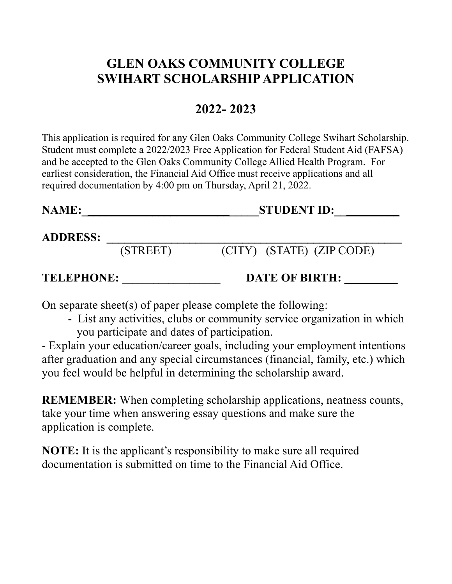# **GLEN OAKS COMMUNITY COLLEGE SWIHART SCHOLARSHIP APPLICATION**

## **2022- 2023**

This application is required for any Glen Oaks Community College Swihart Scholarship. Student must complete a 2022/2023 Free Application for Federal Student Aid (FAFSA) and be accepted to the Glen Oaks Community College Allied Health Program. For earliest consideration, the Financial Aid Office must receive applications and all required documentation by 4:00 pm on Thursday, April 21, 2022.

**NAME:\_\_\_\_\_\_\_\_\_\_\_\_\_\_\_\_\_\_\_\_\_\_\_\_\_\_\_\_\_\_STUDENT ID:\_\_\_\_\_\_\_\_\_\_\_** 

#### **ADDRESS: \_\_\_\_\_\_\_\_\_\_\_\_\_\_\_\_\_\_\_\_\_\_\_\_\_\_\_\_\_\_\_\_\_\_\_\_\_\_\_\_\_\_\_\_\_\_\_\_\_\_**

(STREET) (CITY) (STATE) (ZIP CODE)

**TELEPHONE:** \_\_\_\_\_\_\_\_\_\_\_\_\_\_\_\_\_\_\_ **DATE OF BIRTH: \_\_\_\_\_\_\_\_\_** 

On separate sheet(s) of paper please complete the following:

 - List any activities, clubs or community service organization in which you participate and dates of participation.

 after graduation and any special circumstances (financial, family, etc.) which - Explain your education/career goals, including your employment intentions you feel would be helpful in determining the scholarship award.

**REMEMBER:** When completing scholarship applications, neatness counts, take your time when answering essay questions and make sure the application is complete.

**NOTE:** It is the applicant's responsibility to make sure all required documentation is submitted on time to the Financial Aid Office.